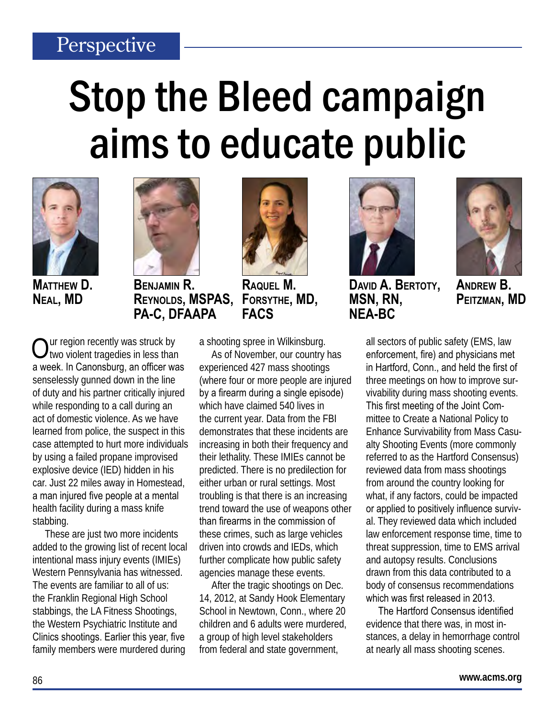### Perspective

# Stop the Bleed campaign aims to educate public



**Matthew D. Neal, MD**



**Benjamin R. Reynolds, MSPAS, PA-C, DFAAPA**

Our region recently was struck by<br>
Otwo violent tragedies in less than a week. In Canonsburg, an officer was senselessly gunned down in the line of duty and his partner critically injured while responding to a call during an act of domestic violence. As we have learned from police, the suspect in this case attempted to hurt more individuals by using a failed propane improvised explosive device (IED) hidden in his car. Just 22 miles away in Homestead, a man injured five people at a mental health facility during a mass knife stabbing.

These are just two more incidents added to the growing list of recent local intentional mass injury events (IMIEs) Western Pennsylvania has witnessed. The events are familiar to all of us: the Franklin Regional High School stabbings, the LA Fitness Shootings, the Western Psychiatric Institute and Clinics shootings. Earlier this year, five family members were murdered during



**FACS**

**Raquel M.** 

**Forsythe, MD,** 

As of November, our country has experienced 427 mass shootings (where four or more people are injured by a firearm during a single episode) which have claimed 540 lives in the current year. Data from the FBI demonstrates that these incidents are increasing in both their frequency and their lethality. These IMIEs cannot be predicted. There is no predilection for either urban or rural settings. Most troubling is that there is an increasing trend toward the use of weapons other than firearms in the commission of these crimes, such as large vehicles driven into crowds and IEDs, which further complicate how public safety agencies manage these events.

After the tragic shootings on Dec. 14, 2012, at Sandy Hook Elementary School in Newtown, Conn., where 20 children and 6 adults were murdered, a group of high level stakeholders from federal and state government,



**David A. Bertoty, MSN, RN, NEA-BC**



**Andrew B. Peitzman, MD**

all sectors of public safety (EMS, law enforcement, fire) and physicians met in Hartford, Conn., and held the first of three meetings on how to improve survivability during mass shooting events. This first meeting of the Joint Committee to Create a National Policy to Enhance Survivability from Mass Casualty Shooting Events (more commonly referred to as the Hartford Consensus) reviewed data from mass shootings from around the country looking for what, if any factors, could be impacted or applied to positively influence survival. They reviewed data which included law enforcement response time, time to threat suppression, time to EMS arrival and autopsy results. Conclusions drawn from this data contributed to a body of consensus recommendations which was first released in 2013.

The Hartford Consensus identified evidence that there was, in most instances, a delay in hemorrhage control at nearly all mass shooting scenes.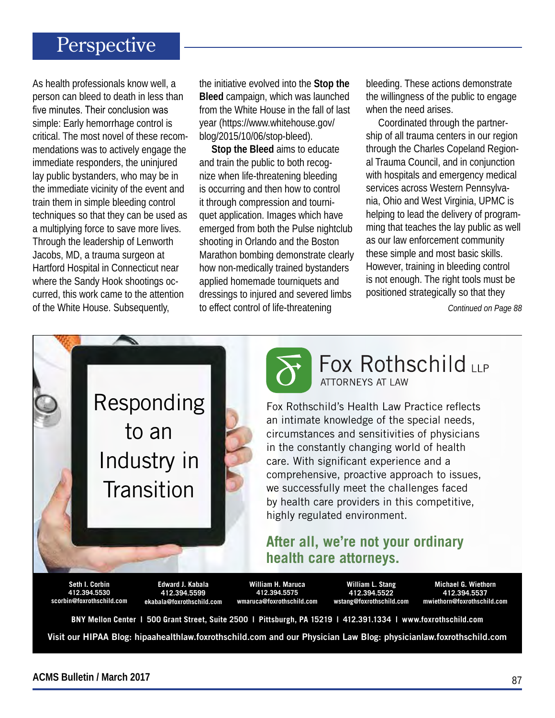#### Perspective

As health professionals know well, a person can bleed to death in less than five minutes. Their conclusion was simple: Early hemorrhage control is critical. The most novel of these recommendations was to actively engage the immediate responders, the uninjured lay public bystanders, who may be in the immediate vicinity of the event and train them in simple bleeding control techniques so that they can be used as a multiplying force to save more lives. Through the leadership of Lenworth Jacobs, MD, a trauma surgeon at Hartford Hospital in Connecticut near where the Sandy Hook shootings occurred, this work came to the attention of the White House. Subsequently,

the initiative evolved into the **Stop the Bleed** campaign, which was launched from the White House in the fall of last year (https://www.whitehouse.gov/ blog/2015/10/06/stop-bleed).

**Stop the Bleed** aims to educate and train the public to both recognize when life-threatening bleeding is occurring and then how to control it through compression and tourniquet application. Images which have emerged from both the Pulse nightclub shooting in Orlando and the Boston Marathon bombing demonstrate clearly how non-medically trained bystanders applied homemade tourniquets and dressings to injured and severed limbs to effect control of life-threatening

bleeding. These actions demonstrate the willingness of the public to engage when the need arises.

Coordinated through the partnership of all trauma centers in our region through the Charles Copeland Regional Trauma Council, and in conjunction with hospitals and emergency medical services across Western Pennsylvania, Ohio and West Virginia, UPMC is helping to lead the delivery of programming that teaches the lay public as well as our law enforcement community these simple and most basic skills. However, training in bleeding control is not enough. The right tools must be positioned strategically so that they

*Continued on Page 88*



**Seth I. Corbin 412.394.5530 scorbin@foxrothschild.com**

**Edward J. Kabala 412.394.5599 ekabala@foxrothschild.com**

**William H. Maruca 412.394.5575 wmaruca@foxrothschild.com**

**William L. Stang 412.394.5522 wstang@foxrothschild.com**

**Michael G. Wiethorn 412.394.5537 mwiethorn@foxrothschild.com**

**BNY Mellon Center | 500 Grant Street, Suite 2500 | Pittsburgh, PA 15219 | 412.391.1334 | www.foxrothschild.com**

Visit our HIPAA Blog: hipaahealthlaw.foxrothschild.com and our Physician Law Blog: physicianlaw.foxrothschild.com